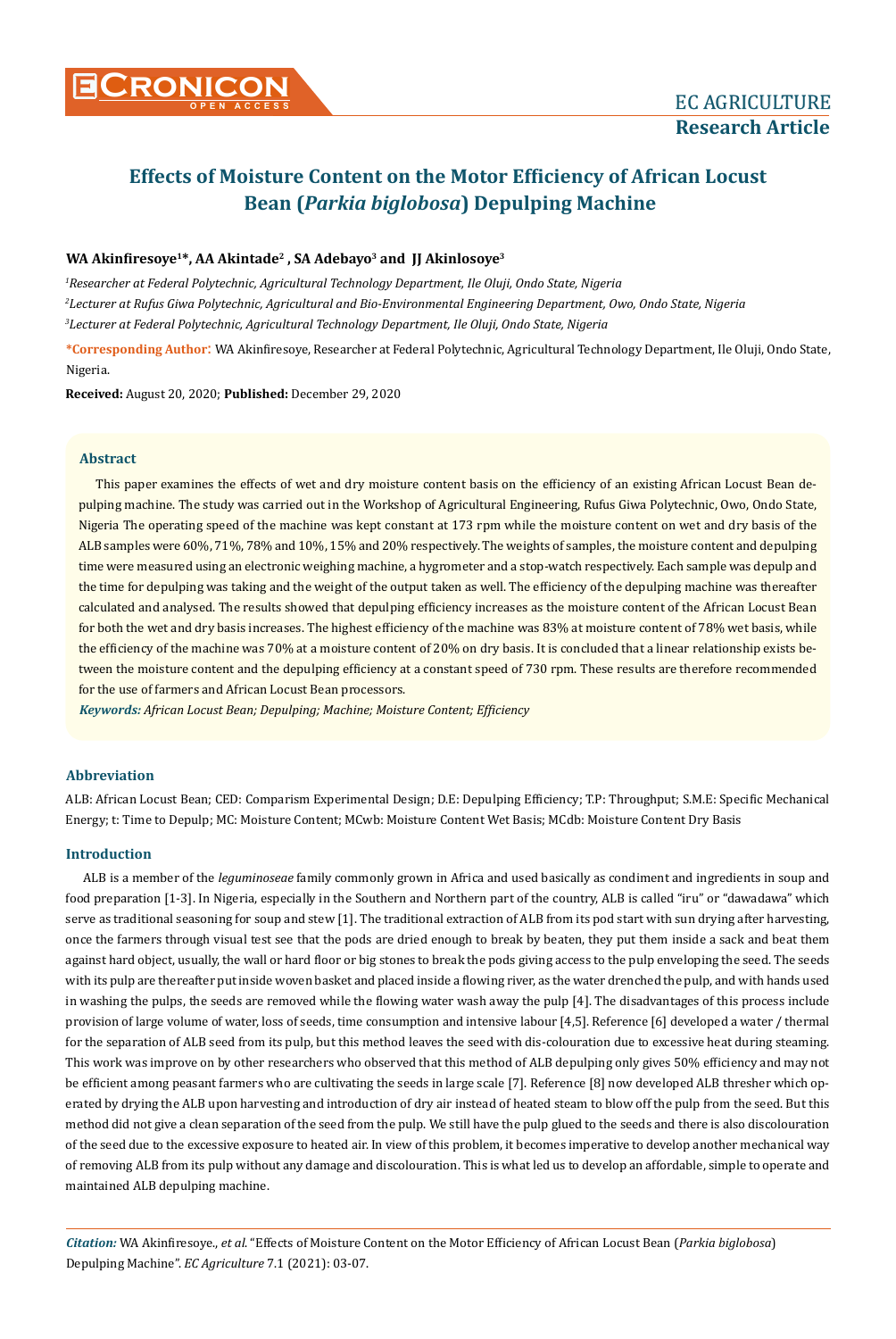

# **Effects of Moisture Content on the Motor Efficiency of African Locust Bean (***Parkia biglobosa***) Depulping Machine**

## **WA Akinfiresoye1\*, AA Akintade2 , SA Adebayo<sup>3</sup> and JJ Akinlosoye<sup>3</sup>**

*1 Researcher at Federal Polytechnic, Agricultural Technology Department, Ile Oluji, Ondo State, Nigeria 2 Lecturer at Rufus Giwa Polytechnic, Agricultural and Bio-Environmental Engineering Department, Owo, Ondo State, Nigeria 3 Lecturer at Federal Polytechnic, Agricultural Technology Department, Ile Oluji, Ondo State, Nigeria*

**\*Corresponding Author**: WA Akinfiresoye, Researcher at Federal Polytechnic, Agricultural Technology Department, Ile Oluji, Ondo State, Nigeria.

**Received:** August 20, 2020; **Published:** December 29, 2020

## **Abstract**

This paper examines the effects of wet and dry moisture content basis on the efficiency of an existing African Locust Bean depulping machine. The study was carried out in the Workshop of Agricultural Engineering, Rufus Giwa Polytechnic, Owo, Ondo State, Nigeria The operating speed of the machine was kept constant at 173 rpm while the moisture content on wet and dry basis of the ALB samples were 60%, 71%, 78% and 10%, 15% and 20% respectively. The weights of samples, the moisture content and depulping time were measured using an electronic weighing machine, a hygrometer and a stop-watch respectively. Each sample was depulp and the time for depulping was taking and the weight of the output taken as well. The efficiency of the depulping machine was thereafter calculated and analysed. The results showed that depulping efficiency increases as the moisture content of the African Locust Bean for both the wet and dry basis increases. The highest efficiency of the machine was 83% at moisture content of 78% wet basis, while the efficiency of the machine was 70% at a moisture content of 20% on dry basis. It is concluded that a linear relationship exists between the moisture content and the depulping efficiency at a constant speed of 730 rpm. These results are therefore recommended for the use of farmers and African Locust Bean processors.

*Keywords: African Locust Bean; Depulping; Machine; Moisture Content; Efficiency*

## **Abbreviation**

ALB: African Locust Bean; CED: Comparism Experimental Design; D.E: Depulping Efficiency; T.P: Throughput; S.M.E: Specific Mechanical Energy; t: Time to Depulp; MC: Moisture Content; MCwb: Moisture Content Wet Basis; MCdb: Moisture Content Dry Basis

## **Introduction**

ALB is a member of the *leguminoseae* family commonly grown in Africa and used basically as condiment and ingredients in soup and food preparation [1-3]. In Nigeria, especially in the Southern and Northern part of the country, ALB is called "iru" or "dawadawa" which serve as traditional seasoning for soup and stew [1]. The traditional extraction of ALB from its pod start with sun drying after harvesting, once the farmers through visual test see that the pods are dried enough to break by beaten, they put them inside a sack and beat them against hard object, usually, the wall or hard floor or big stones to break the pods giving access to the pulp enveloping the seed. The seeds with its pulp are thereafter put inside woven basket and placed inside a flowing river, as the water drenched the pulp, and with hands used in washing the pulps, the seeds are removed while the flowing water wash away the pulp [4]. The disadvantages of this process include provision of large volume of water, loss of seeds, time consumption and intensive labour [4,5]. Reference [6] developed a water / thermal for the separation of ALB seed from its pulp, but this method leaves the seed with dis-colouration due to excessive heat during steaming. This work was improve on by other researchers who observed that this method of ALB depulping only gives 50% efficiency and may not be efficient among peasant farmers who are cultivating the seeds in large scale [7]. Reference [8] now developed ALB thresher which operated by drying the ALB upon harvesting and introduction of dry air instead of heated steam to blow off the pulp from the seed. But this method did not give a clean separation of the seed from the pulp. We still have the pulp glued to the seeds and there is also discolouration of the seed due to the excessive exposure to heated air. In view of this problem, it becomes imperative to develop another mechanical way of removing ALB from its pulp without any damage and discolouration. This is what led us to develop an affordable, simple to operate and maintained ALB depulping machine.

*Citation:* WA Akinfiresoye., *et al*. "Effects of Moisture Content on the Motor Efficiency of African Locust Bean (*Parkia biglobosa*) Depulping Machine". *EC Agriculture* 7.1 (2021): 03-07.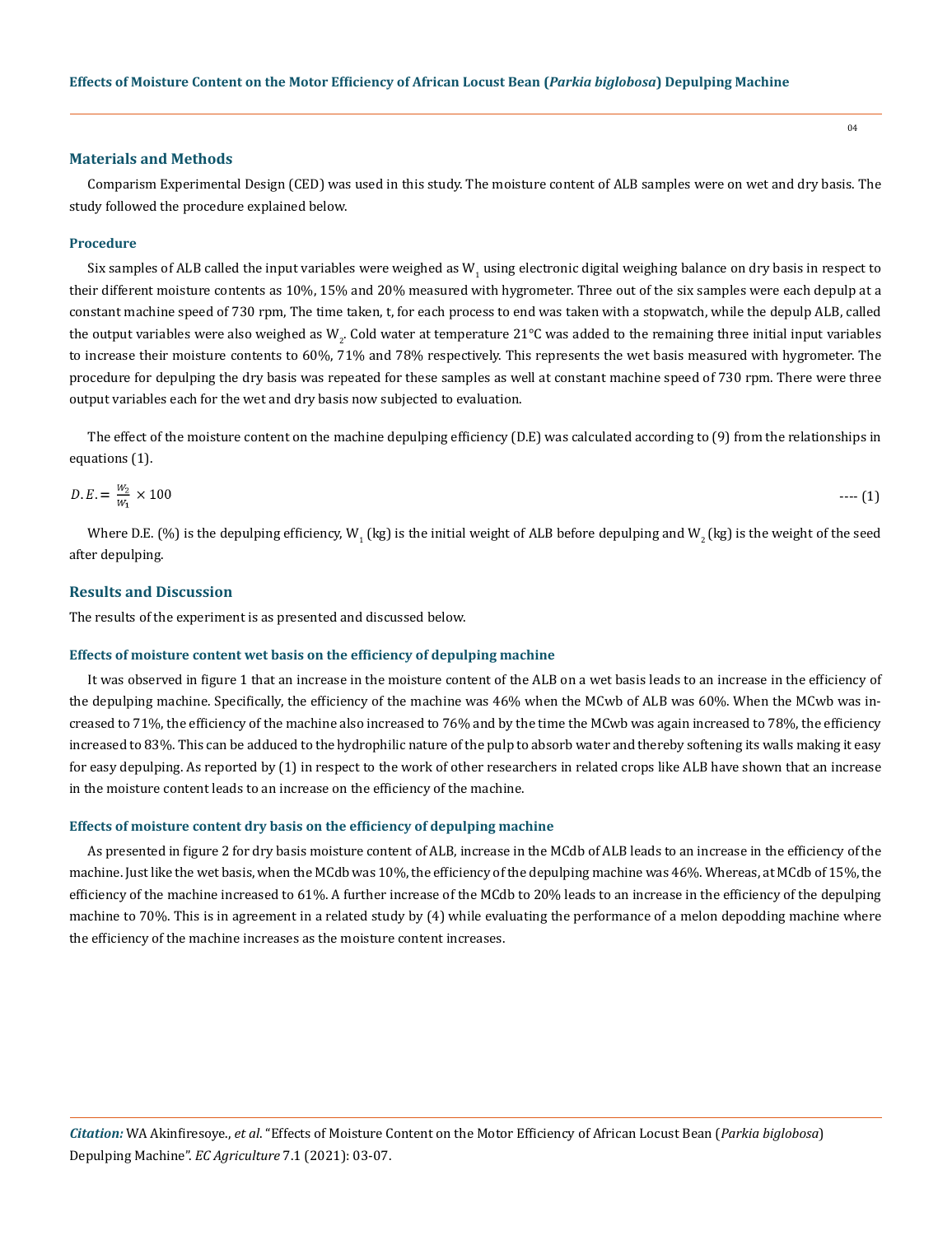#### **Materials and Methods**

Comparism Experimental Design (CED) was used in this study. The moisture content of ALB samples were on wet and dry basis. The study followed the procedure explained below.

#### **Procedure**

Six samples of ALB called the input variables were weighed as  $W^-_1$ using electronic digital weighing balance on dry basis in respect to their different moisture contents as 10%, 15% and 20% measured with hygrometer. Three out of the six samples were each depulp at a constant machine speed of 730 rpm, The time taken, t, for each process to end was taken with a stopwatch, while the depulp ALB, called the output variables were also weighed as W<sub>2</sub>. Cold water at temperature 21°C was added to the remaining three initial input variables to increase their moisture contents to 60%, 71% and 78% respectively. This represents the wet basis measured with hygrometer. The procedure for depulping the dry basis was repeated for these samples as well at constant machine speed of 730 rpm. There were three output variables each for the wet and dry basis now subjected to evaluation.

The effect of the moisture content on the machine depulping efficiency (D.E) was calculated according to (9) from the relationships in equations (1).

$$
D.E. = \frac{w_2}{w_1} \times 100 \qquad \qquad \cdots (1)
$$

Where D.E. (%) is the depulping efficiency, W<sub>1</sub> (kg) is the initial weight of ALB before depulping and W<sub>2</sub> (kg) is the weight of the seed after depulping.

#### **Results and Discussion**

The results of the experiment is as presented and discussed below.

#### **Effects of moisture content wet basis on the efficiency of depulping machine**

It was observed in figure 1 that an increase in the moisture content of the ALB on a wet basis leads to an increase in the efficiency of the depulping machine. Specifically, the efficiency of the machine was 46% when the MCwb of ALB was 60%. When the MCwb was increased to 71%, the efficiency of the machine also increased to 76% and by the time the MCwb was again increased to 78%, the efficiency increased to 83%. This can be adduced to the hydrophilic nature of the pulp to absorb water and thereby softening its walls making it easy for easy depulping. As reported by (1) in respect to the work of other researchers in related crops like ALB have shown that an increase in the moisture content leads to an increase on the efficiency of the machine.

#### **Effects of moisture content dry basis on the efficiency of depulping machine**

As presented in figure 2 for dry basis moisture content of ALB, increase in the MCdb of ALB leads to an increase in the efficiency of the machine. Just like the wet basis, when the MCdb was 10%, the efficiency of the depulping machine was 46%. Whereas, at MCdb of 15%, the efficiency of the machine increased to 61%. A further increase of the MCdb to 20% leads to an increase in the efficiency of the depulping machine to 70%. This is in agreement in a related study by (4) while evaluating the performance of a melon depodding machine where the efficiency of the machine increases as the moisture content increases.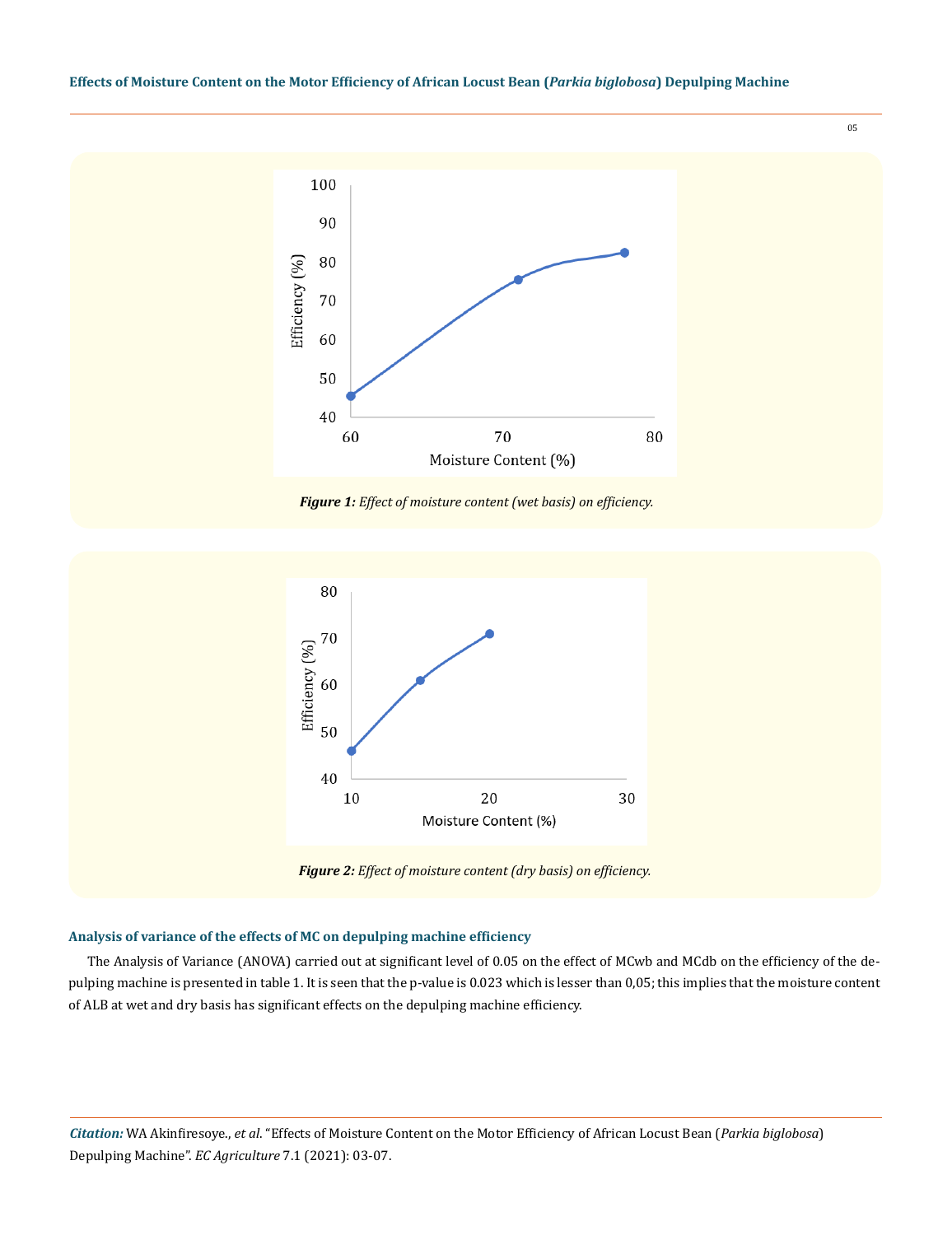





*Figure 2: Effect of moisture content (dry basis) on efficiency.*

## **Analysis of variance of the effects of MC on depulping machine efficiency**

The Analysis of Variance (ANOVA) carried out at significant level of 0.05 on the effect of MCwb and MCdb on the efficiency of the depulping machine is presented in table 1. It is seen that the p-value is 0.023 which is lesser than 0,05; this implies that the moisture content of ALB at wet and dry basis has significant effects on the depulping machine efficiency.

*Citation:* WA Akinfiresoye., *et al*. "Effects of Moisture Content on the Motor Efficiency of African Locust Bean (*Parkia biglobosa*) Depulping Machine". *EC Agriculture* 7.1 (2021): 03-07.

05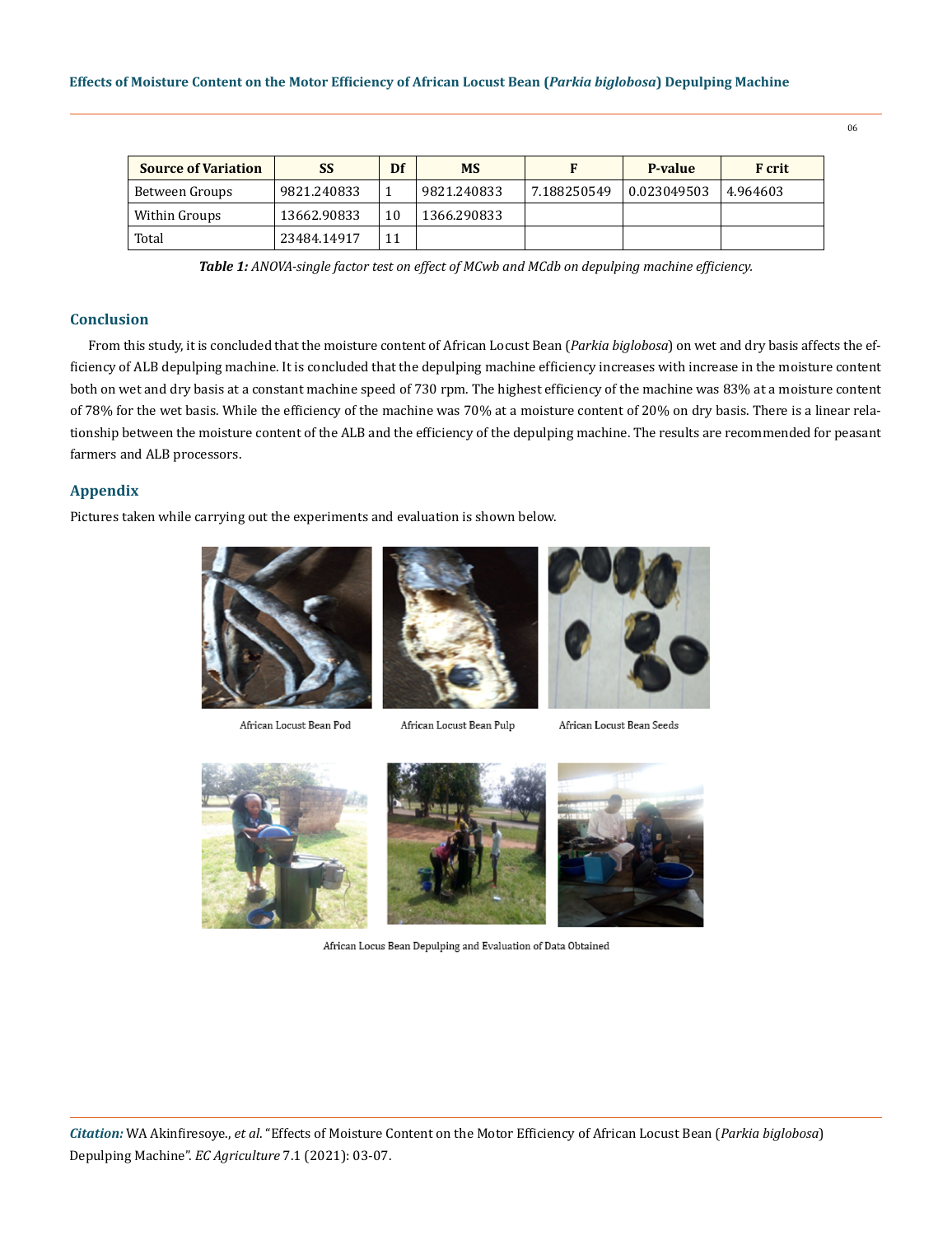| <b>Source of Variation</b> | <b>SS</b>   | Df | <b>MS</b>   |             | P-value     | <b>F</b> crit |
|----------------------------|-------------|----|-------------|-------------|-------------|---------------|
| Between Groups             | 9821.240833 |    | 9821.240833 | 7.188250549 | 0.023049503 | 4.964603      |
| Within Groups              | 13662.90833 | 10 | 1366.290833 |             |             |               |
| Total                      | 23484.14917 | 11 |             |             |             |               |

*Table 1: ANOVA-single factor test on effect of MCwb and MCdb on depulping machine efficiency.*

## **Conclusion**

From this study, it is concluded that the moisture content of African Locust Bean (*Parkia biglobosa*) on wet and dry basis affects the efficiency of ALB depulping machine. It is concluded that the depulping machine efficiency increases with increase in the moisture content both on wet and dry basis at a constant machine speed of 730 rpm. The highest efficiency of the machine was 83% at a moisture content of 78% for the wet basis. While the efficiency of the machine was 70% at a moisture content of 20% on dry basis. There is a linear relationship between the moisture content of the ALB and the efficiency of the depulping machine. The results are recommended for peasant farmers and ALB processors.

## **Appendix**

Pictures taken while carrying out the experiments and evaluation is shown below.



African Locust Bean Pod



African Locust Bean Pulp



African Locust Bean Seeds







African Locus Bean Depulping and Evaluation of Data Obtained

06